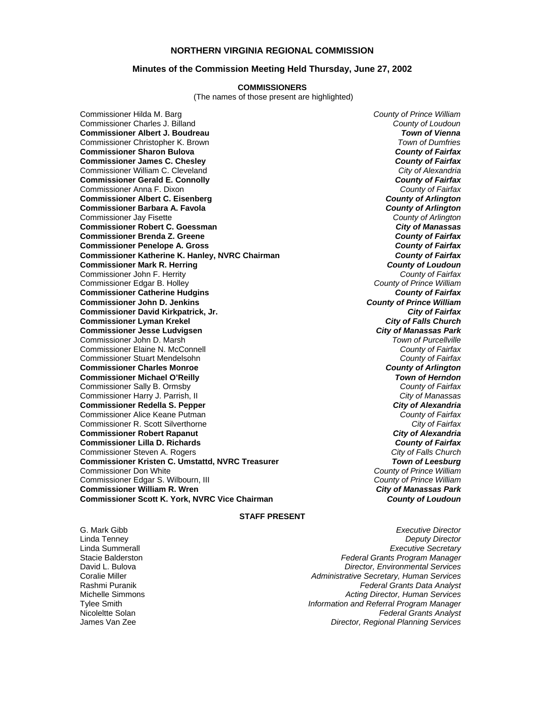## **NORTHERN VIRGINIA REGIONAL COMMISSION**

### **Minutes of the Commission Meeting Held Thursday, June 27, 2002**

#### **COMMISSIONERS**

(The names of those present are highlighted)

Commissioner Charles J. Billand *County of Loudoun* **Commissioner Albert J. Boudreau** *Town of Vienna* Commissioner Christopher K. Brown *Town of Dumfries*  **Commissioner Sharon Bulova** *County of Fairfax* **Commissioner James C. Chesley** *County of Fairfax* Commissioner William C. Cleveland *City of Alexandria* **Commissioner Gerald E. Connolly** *County of Fairfax* Commissioner Anna F. Dixon *County of Fairfax* **Commissioner Albert C. Eisenberg** *County of Arlington* **Commissioner Barbara A. Favola** *County of Arlington* Commissioner Jay Fisette *County of Arlington* **Commissioner Robert C. Goessman** *City of Manassas* **Commissioner Brenda Z. Greene** *County of Fairfax* **Commissioner Penelope A. Gross** *County of Fairfax* **Commissioner Katherine K. Hanley, NVRC Chairman** *County of Fairfax* **Commissioner Mark R. Herring** *County of Loudoun* Commissioner John F. Herrity *County of Fairfax* Commissioner Edgar B. Holley *County of Prince William* **Commissioner Catherine Hudgins** *County of Fairfax* **Commissioner John D. Jenkins** *County of Prince William* **Commissioner David Kirkpatrick, Jr.** *City of Fairfax* **Commissioner Lyman Krekel Commissioner Jesse Ludvigsen** *City of Manassas Park* Commissioner John D. Marsh *Town of Purcellville* Commissioner Elaine N. McConnell *County of Fairfax* Commissioner Stuart Mendelsohn *County of Fairfax* **Commissioner Charles Monroe** *County of Arlington* **Commissioner Michael O'Reilly** *Town of Herndon* Commissioner Sally B. Ormsby *County of Fairfax* Commissioner Harry J. Parrish, II *City of Manassas* **Commissioner Redella S. Pepper** Commissioner Alice Keane Putman *County of Fairfax* Commissioner R. Scott Silverthorne *City of Fairfax* **Commissioner Robert Rapanut** *City of Alexandria* **Commissioner Lilla D. Richards** *County of Fairfax* Commissioner Steven A. Rogers *City of Falls Church* **Commissioner Kristen C. Umstattd, NVRC Treasurer Commissioner Don White** Commissioner Edgar S. Wilbourn, III *County of Prince William* **Commissioner William R. Wren** *City of Manassas Park* **Commissioner Scott K. York, NVRC Vice Chairman** *County of Loudoun*

Commissioner Hilda M. Barg *County of Prince William* County of Prince William<br>County of Prince William

#### **STAFF PRESENT**

G. Mark Gibb *Executive Director* Linda Tenney *Deputy Director* Linda Summerall *Executive Secretary* Stacie Balderston *Federal Grants Program Manager* **Director, Environmental Services** Coralie Miller *Administrative Secretary, Human Services* Rashmi Puranik *Federal Grants Data Analyst* Michelle Simmons *Acting Director, Human Services* Tylee Smith *Information and Referral Program Manager* **Federal Grants Analyst** James Van Zee *Director, Regional Planning Services*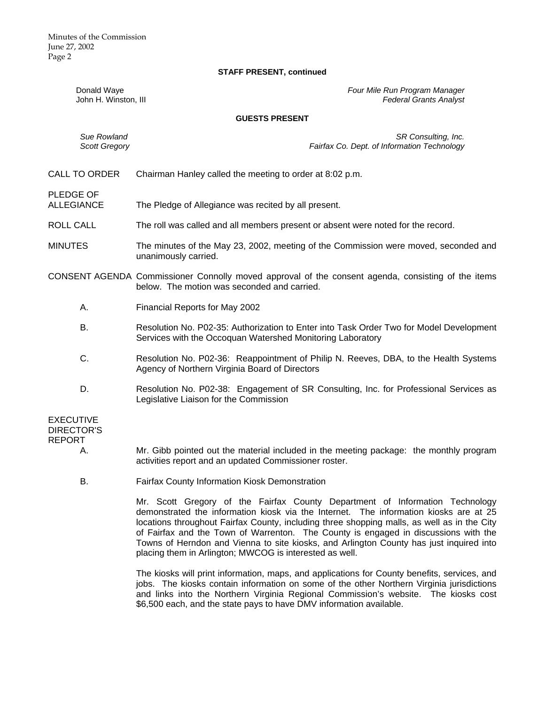Minutes of the Commission June 27, 2002 Page 2

#### **STAFF PRESENT, continued**

Donald Waye *Four Mile Run Program Manager* **Federal Grants Analyst** 

### **GUESTS PRESENT**

*Sue Rowland SR Consulting, Inc. Scott Gregory Fairfax Co. Dept. of Information Technology*

CALL TO ORDER Chairman Hanley called the meeting to order at 8:02 p.m.

PLEDGE OF

- ALLEGIANCE The Pledge of Allegiance was recited by all present.
- ROLL CALL The roll was called and all members present or absent were noted for the record.
- MINUTES The minutes of the May 23, 2002, meeting of the Commission were moved, seconded and unanimously carried.
- CONSENT AGENDA Commissioner Connolly moved approval of the consent agenda, consisting of the items below. The motion was seconded and carried.
	- A. Financial Reports for May 2002
	- B. Resolution No. P02-35: Authorization to Enter into Task Order Two for Model Development Services with the Occoquan Watershed Monitoring Laboratory
	- C. Resolution No. P02-36: Reappointment of Philip N. Reeves, DBA, to the Health Systems Agency of Northern Virginia Board of Directors
	- D. Resolution No. P02-38: Engagement of SR Consulting, Inc. for Professional Services as Legislative Liaison for the Commission

EXECUTIVE DIRECTOR'S REPORT

- A. Mr. Gibb pointed out the material included in the meeting package: the monthly program activities report and an updated Commissioner roster.
- B. Fairfax County Information Kiosk Demonstration

 Mr. Scott Gregory of the Fairfax County Department of Information Technology demonstrated the information kiosk via the Internet. The information kiosks are at 25 locations throughout Fairfax County, including three shopping malls, as well as in the City of Fairfax and the Town of Warrenton. The County is engaged in discussions with the Towns of Herndon and Vienna to site kiosks, and Arlington County has just inquired into placing them in Arlington; MWCOG is interested as well.

 The kiosks will print information, maps, and applications for County benefits, services, and jobs. The kiosks contain information on some of the other Northern Virginia jurisdictions and links into the Northern Virginia Regional Commission's website. The kiosks cost \$6,500 each, and the state pays to have DMV information available.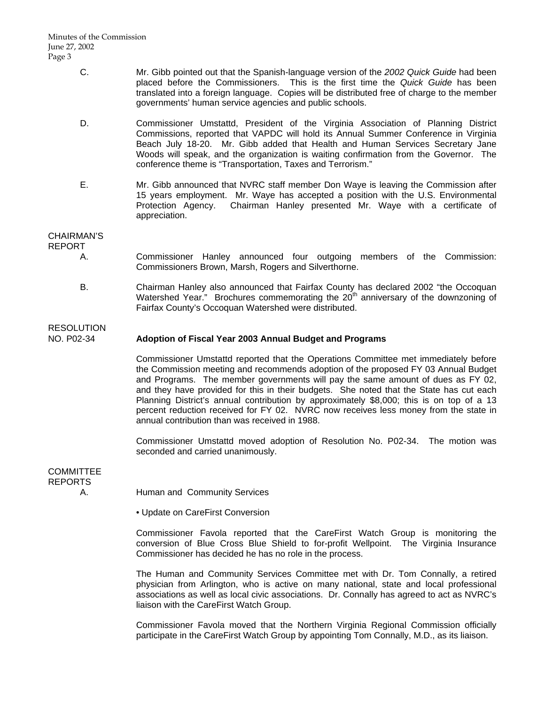Minutes of the Commission June 27, 2002 Page 3

- C. Mr. Gibb pointed out that the Spanish-language version of the *2002 Quick Guide* had been placed before the Commissioners. This is the first time the *Quick Guide* has been translated into a foreign language. Copies will be distributed free of charge to the member governments' human service agencies and public schools.
- D. Commissioner Umstattd, President of the Virginia Association of Planning District Commissions, reported that VAPDC will hold its Annual Summer Conference in Virginia Beach July 18-20. Mr. Gibb added that Health and Human Services Secretary Jane Woods will speak, and the organization is waiting confirmation from the Governor. The conference theme is "Transportation, Taxes and Terrorism."
- E. Mr. Gibb announced that NVRC staff member Don Waye is leaving the Commission after 15 years employment. Mr. Waye has accepted a position with the U.S. Environmental Protection Agency. Chairman Hanley presented Mr. Waye with a certificate of appreciation.

## CHAIRMAN'S

**RESOLUTION** 

## REPORT

- A. Commissioner Hanley announced four outgoing members of the Commission: Commissioners Brown, Marsh, Rogers and Silverthorne.
- B. Chairman Hanley also announced that Fairfax County has declared 2002 "the Occoquan Watershed Year." Brochures commemorating the  $20<sup>th</sup>$  anniversary of the downzoning of Fairfax County's Occoquan Watershed were distributed.

## NO. P02-34 **Adoption of Fiscal Year 2003 Annual Budget and Programs**

Commissioner Umstattd reported that the Operations Committee met immediately before the Commission meeting and recommends adoption of the proposed FY 03 Annual Budget and Programs. The member governments will pay the same amount of dues as FY 02, and they have provided for this in their budgets. She noted that the State has cut each Planning District's annual contribution by approximately \$8,000; this is on top of a 13 percent reduction received for FY 02. NVRC now receives less money from the state in annual contribution than was received in 1988.

Commissioner Umstattd moved adoption of Resolution No. P02-34. The motion was seconded and carried unanimously.

## **COMMITTEE** REPORTS

A. Human and Community Services

• Update on CareFirst Conversion

Commissioner Favola reported that the CareFirst Watch Group is monitoring the conversion of Blue Cross Blue Shield to for-profit Wellpoint. The Virginia Insurance Commissioner has decided he has no role in the process.

The Human and Community Services Committee met with Dr. Tom Connally, a retired physician from Arlington, who is active on many national, state and local professional associations as well as local civic associations. Dr. Connally has agreed to act as NVRC's liaison with the CareFirst Watch Group.

Commissioner Favola moved that the Northern Virginia Regional Commission officially participate in the CareFirst Watch Group by appointing Tom Connally, M.D., as its liaison.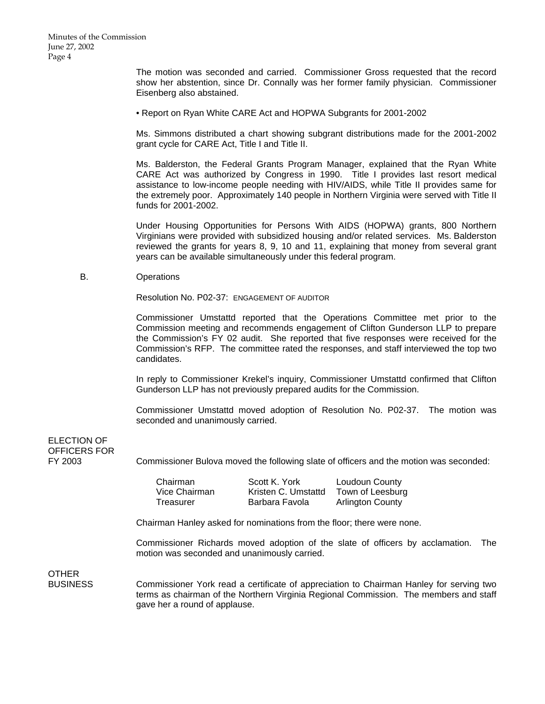The motion was seconded and carried. Commissioner Gross requested that the record show her abstention, since Dr. Connally was her former family physician. Commissioner Eisenberg also abstained.

• Report on Ryan White CARE Act and HOPWA Subgrants for 2001-2002

Ms. Simmons distributed a chart showing subgrant distributions made for the 2001-2002 grant cycle for CARE Act, Title I and Title II.

Ms. Balderston, the Federal Grants Program Manager, explained that the Ryan White CARE Act was authorized by Congress in 1990. Title I provides last resort medical assistance to low-income people needing with HIV/AIDS, while Title II provides same for the extremely poor. Approximately 140 people in Northern Virginia were served with Title II funds for 2001-2002.

Under Housing Opportunities for Persons With AIDS (HOPWA) grants, 800 Northern Virginians were provided with subsidized housing and/or related services. Ms. Balderston reviewed the grants for years 8, 9, 10 and 11, explaining that money from several grant years can be available simultaneously under this federal program.

B. Operations

**Resolution No. P02-37: ENGAGEMENT OF AUDITOR** 

 Commissioner Umstattd reported that the Operations Committee met prior to the Commission meeting and recommends engagement of Clifton Gunderson LLP to prepare the Commission's FY 02 audit. She reported that five responses were received for the Commission's RFP. The committee rated the responses, and staff interviewed the top two candidates.

 In reply to Commissioner Krekel's inquiry, Commissioner Umstattd confirmed that Clifton Gunderson LLP has not previously prepared audits for the Commission.

 Commissioner Umstattd moved adoption of Resolution No. P02-37. The motion was seconded and unanimously carried.

# ELECTION OF OFFICERS FOR

FY 2003 Commissioner Bulova moved the following slate of officers and the motion was seconded:

Chairman Scott K. York Loudoun County Vice Chairman Kristen C. Umstattd Town of Leesburg Treasurer **Barbara Favola** Arlington County

Chairman Hanley asked for nominations from the floor; there were none.

Commissioner Richards moved adoption of the slate of officers by acclamation. The motion was seconded and unanimously carried.

OTHER

BUSINESS Commissioner York read a certificate of appreciation to Chairman Hanley for serving two terms as chairman of the Northern Virginia Regional Commission. The members and staff gave her a round of applause.